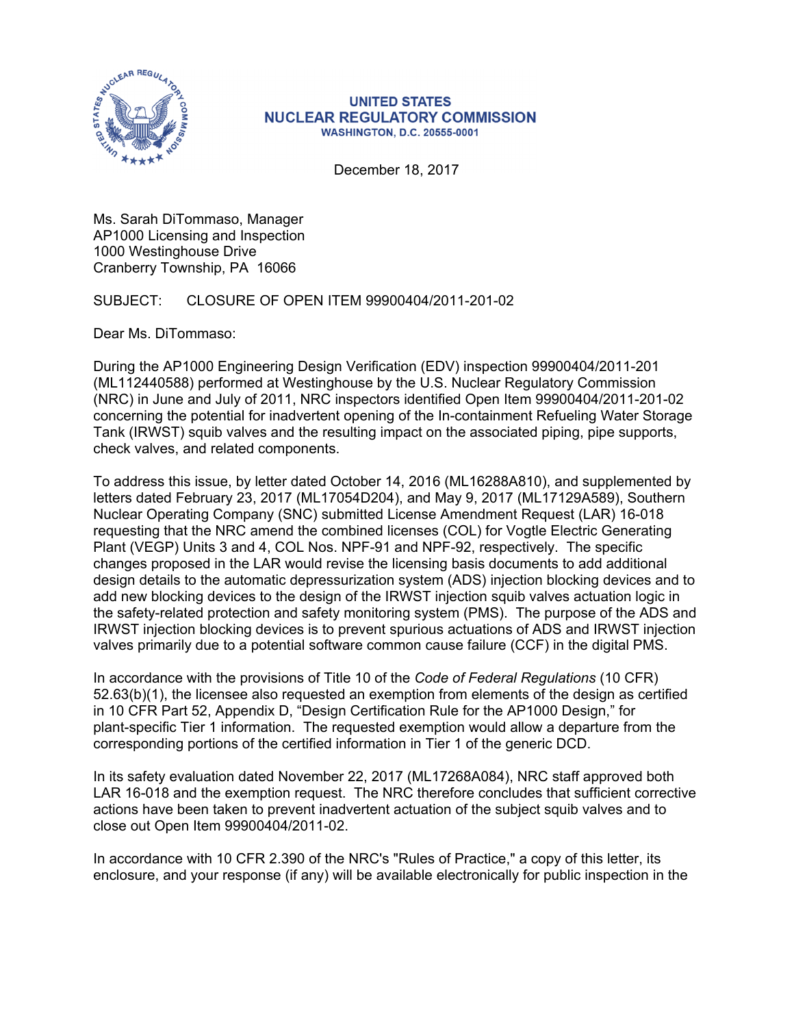

## **UNITED STATES NUCLEAR REGULATORY COMMISSION WASHINGTON, D.C. 20555-0001**

December 18, 2017

Ms. Sarah DiTommaso, Manager AP1000 Licensing and Inspection 1000 Westinghouse Drive Cranberry Township, PA 16066

SUBJECT: CLOSURE OF OPEN ITEM 99900404/2011-201-02

Dear Ms. DiTommaso:

During the AP1000 Engineering Design Verification (EDV) inspection 99900404/2011-201 (ML112440588) performed at Westinghouse by the U.S. Nuclear Regulatory Commission (NRC) in June and July of 2011, NRC inspectors identified Open Item 99900404/2011-201-02 concerning the potential for inadvertent opening of the In-containment Refueling Water Storage Tank (IRWST) squib valves and the resulting impact on the associated piping, pipe supports, check valves, and related components.

To address this issue, by letter dated October 14, 2016 (ML16288A810), and supplemented by letters dated February 23, 2017 (ML17054D204), and May 9, 2017 (ML17129A589), Southern Nuclear Operating Company (SNC) submitted License Amendment Request (LAR) 16-018 requesting that the NRC amend the combined licenses (COL) for Vogtle Electric Generating Plant (VEGP) Units 3 and 4, COL Nos. NPF-91 and NPF-92, respectively. The specific changes proposed in the LAR would revise the licensing basis documents to add additional design details to the automatic depressurization system (ADS) injection blocking devices and to add new blocking devices to the design of the IRWST injection squib valves actuation logic in the safety-related protection and safety monitoring system (PMS). The purpose of the ADS and IRWST injection blocking devices is to prevent spurious actuations of ADS and IRWST injection valves primarily due to a potential software common cause failure (CCF) in the digital PMS.

In accordance with the provisions of Title 10 of the *Code of Federal Regulations* (10 CFR) 52.63(b)(1), the licensee also requested an exemption from elements of the design as certified in 10 CFR Part 52, Appendix D, "Design Certification Rule for the AP1000 Design," for plant-specific Tier 1 information. The requested exemption would allow a departure from the corresponding portions of the certified information in Tier 1 of the generic DCD.

In its safety evaluation dated November 22, 2017 (ML17268A084), NRC staff approved both LAR 16-018 and the exemption request. The NRC therefore concludes that sufficient corrective actions have been taken to prevent inadvertent actuation of the subject squib valves and to close out Open Item 99900404/2011-02.

In accordance with 10 CFR 2.390 of the NRC's "Rules of Practice," a copy of this letter, its enclosure, and your response (if any) will be available electronically for public inspection in the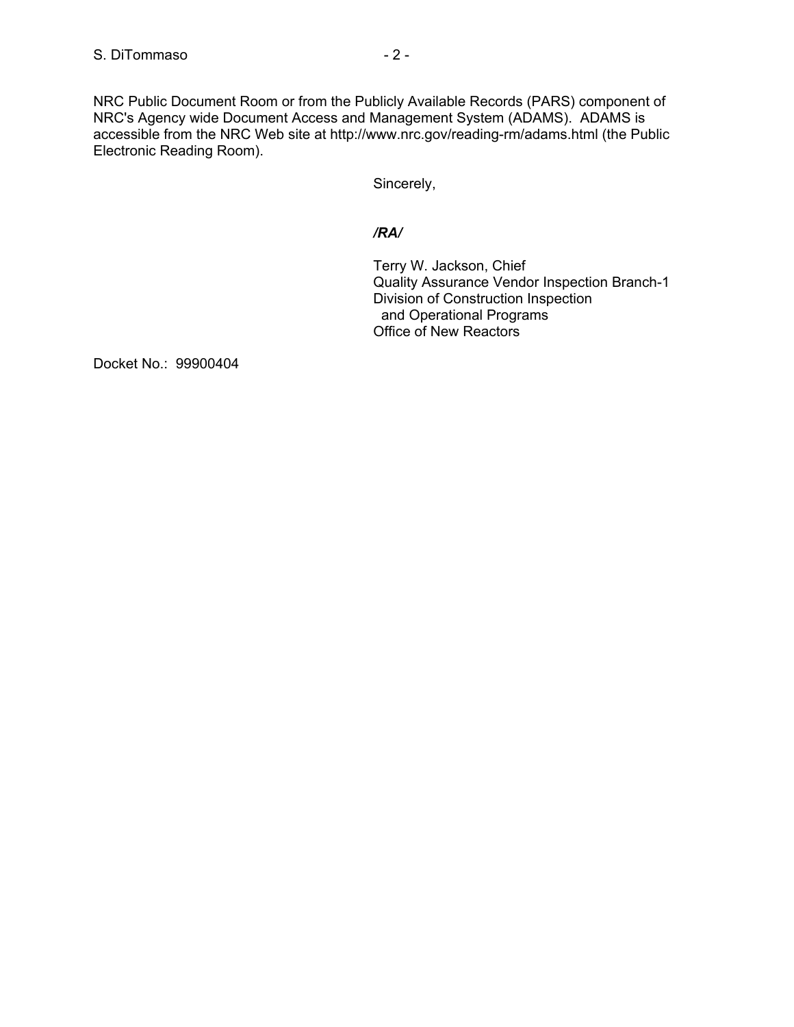NRC Public Document Room or from the Publicly Available Records (PARS) component of NRC's Agency wide Document Access and Management System (ADAMS). ADAMS is accessible from the NRC Web site at http://www.nrc.gov/reading-rm/adams.html (the Public Electronic Reading Room).

Sincerely,

## */RA/*

Terry W. Jackson, Chief Quality Assurance Vendor Inspection Branch-1 Division of Construction Inspection and Operational Programs Office of New Reactors

Docket No.: 99900404